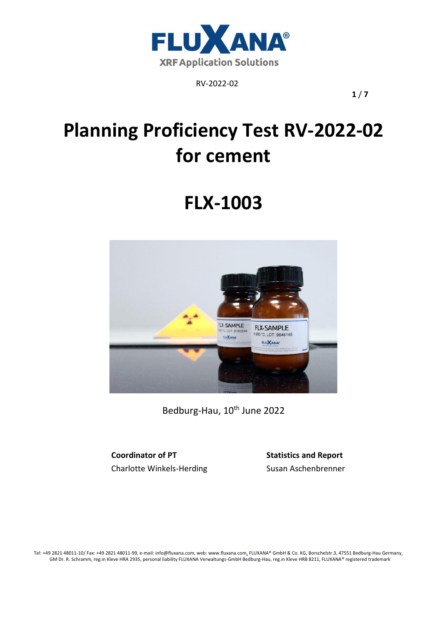

**1** / **7**

# **Planning Proficiency Test RV-2022-02 for cement**

# **FLX-1003**



Bedburg-Hau, 10<sup>th</sup> June 2022

**Coordinator of PT Statistics and Report** Charlotte Winkels-Herding Susan Aschenbrenner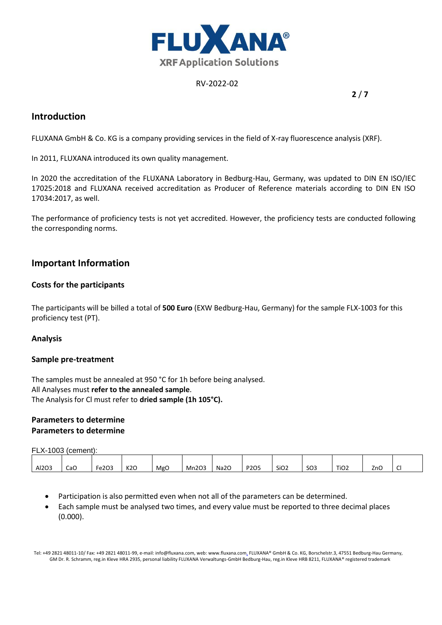

**2** / **7**

## **Introduction**

FLUXANA GmbH & Co. KG is a company providing services in the field of X-ray fluorescence analysis (XRF).

In 2011, FLUXANA introduced its own quality management.

In 2020 the accreditation of the FLUXANA Laboratory in Bedburg-Hau, Germany, was updated to DIN EN ISO/IEC 17025:2018 and FLUXANA received accreditation as Producer of Reference materials according to DIN EN ISO 17034:2017, as well.

The performance of proficiency tests is not yet accredited. However, the proficiency tests are conducted following the corresponding norms.

## **Important Information**

## **Costs for the participants**

The participants will be billed a total of **500 Euro** (EXW Bedburg-Hau, Germany) for the sample FLX-1003 for this proficiency test (PT).

## **Analysis**

#### **Sample pre-treatment**

The samples must be annealed at 950 °C for 1h before being analysed. All Analyses must **refer to the annealed sample**. The Analysis for Cl must refer to **dried sample (1h 105°C).** 

## **Parameters to determine Parameters to determine**

FLX-1003 (cement):

|       |     | າດຈ       |                  |     |       |      |      |                  | $\sim$ |                  | -   | - |
|-------|-----|-----------|------------------|-----|-------|------|------|------------------|--------|------------------|-----|---|
| Al2O3 | CaO | $-$<br>ີ້ | K <sub>2</sub> O | MgC | Mn2O3 | Na2O | P2O5 | SiO <sub>2</sub> | SU3    | TiO <sub>2</sub> | ZnC | ิ |

- Participation is also permitted even when not all of the parameters can be determined.
- Each sample must be analysed two times, and every value must be reported to three decimal places (0.000).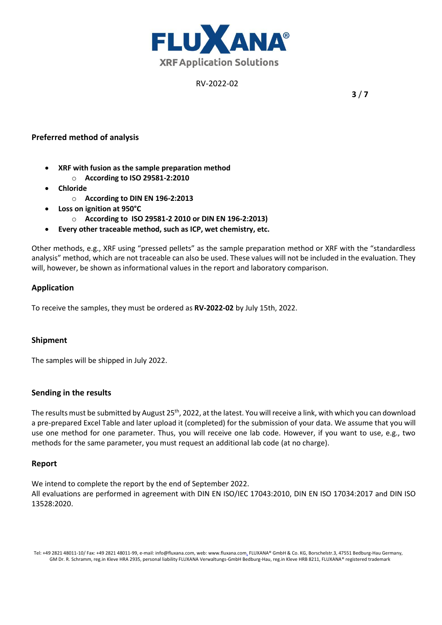

**3** / **7**

## **Preferred method of analysis**

- **XRF with fusion as the sample preparation method** 
	- o **According to ISO 29581-2:2010**
- **Chloride** 
	- o **According to DIN EN 196-2:2013**
- **Loss on ignition at 950°C** 
	- o **According to ISO 29581-2 2010 or DIN EN 196-2:2013)**
- **Every other traceable method, such as ICP, wet chemistry, etc.**

Other methods, e.g., XRF using "pressed pellets" as the sample preparation method or XRF with the "standardless analysis" method, which are not traceable can also be used. These values will not be included in the evaluation. They will, however, be shown as informational values in the report and laboratory comparison.

## **Application**

To receive the samples, they must be ordered as **RV-2022-02** by July 15th, 2022.

## **Shipment**

The samples will be shipped in July 2022.

## **Sending in the results**

The results must be submitted by August 25<sup>th</sup>, 2022, at the latest. You will receive a link, with which you can download a pre-prepared Excel Table and later upload it (completed) for the submission of your data. We assume that you will use one method for one parameter. Thus, you will receive one lab code. However, if you want to use, e.g., two methods for the same parameter, you must request an additional lab code (at no charge).

## **Report**

We intend to complete the report by the end of September 2022. All evaluations are performed in agreement with DIN EN ISO/IEC 17043:2010, DIN EN ISO 17034:2017 and DIN ISO 13528:2020.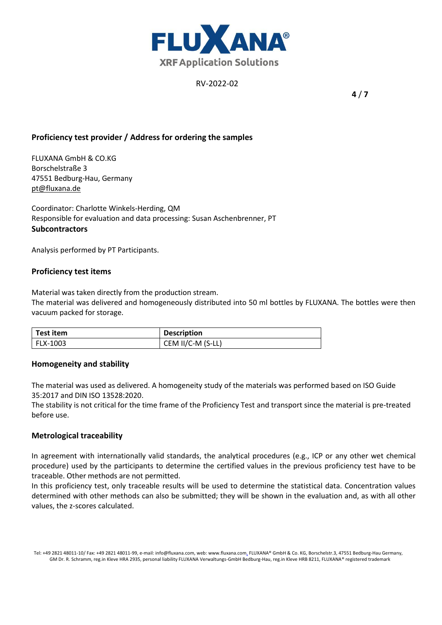

**4** / **7**

## **Proficiency test provider / Address for ordering the samples**

FLUXANA GmbH & CO.KG Borschelstraße 3 47551 Bedburg-Hau, Germany [pt@fluxana.de](mailto:pt@fluxana.de)

Coordinator: Charlotte Winkels-Herding, QM Responsible for evaluation and data processing: Susan Aschenbrenner, PT **Subcontractors**

Analysis performed by PT Participants.

## **Proficiency test items**

Material was taken directly from the production stream.

The material was delivered and homogeneously distributed into 50 ml bottles by FLUXANA. The bottles were then vacuum packed for storage.

| Test item | <b>Description</b> |
|-----------|--------------------|
| FLX-1003  | CEM II/C-M (S-LL)  |

#### **Homogeneity and stability**

The material was used as delivered. A homogeneity study of the materials was performed based on ISO Guide 35:2017 and DIN ISO 13528:2020.

The stability is not critical for the time frame of the Proficiency Test and transport since the material is pre-treated before use.

#### **Metrological traceability**

In agreement with internationally valid standards, the analytical procedures (e.g., ICP or any other wet chemical procedure) used by the participants to determine the certified values in the previous proficiency test have to be traceable. Other methods are not permitted.

In this proficiency test, only traceable results will be used to determine the statistical data. Concentration values determined with other methods can also be submitted; they will be shown in the evaluation and, as with all other values, the z-scores calculated.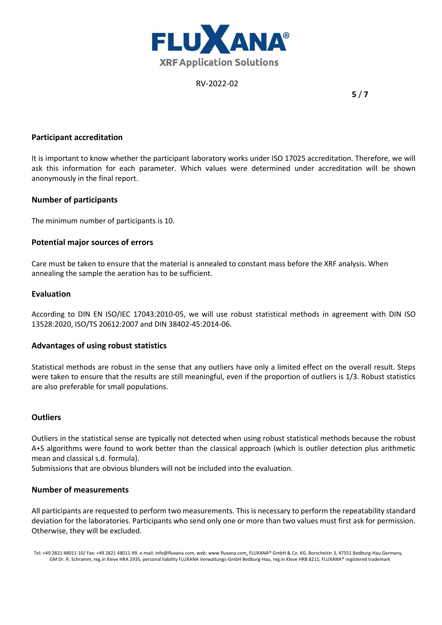

**5** / **7**

#### **Participant accreditation**

It is important to know whether the participant laboratory works under ISO 17025 accreditation. Therefore, we will ask this information for each parameter. Which values were determined under accreditation will be shown anonymously in the final report.

#### **Number of participants**

The minimum number of participants is 10.

#### **Potential major sources of errors**

Care must be taken to ensure that the material is annealed to constant mass before the XRF analysis. When annealing the sample the aeration has to be sufficient.

#### **Evaluation**

According to DIN EN ISO/IEC 17043:2010-05, we will use robust statistical methods in agreement with DIN ISO 13528:2020, ISO/TS 20612:2007 and DIN 38402-45:2014-06.

#### **Advantages of using robust statistics**

Statistical methods are robust in the sense that any outliers have only a limited effect on the overall result. Steps were taken to ensure that the results are still meaningful, even if the proportion of outliers is 1/3. Robust statistics are also preferable for small populations.

#### **Outliers**

Outliers in the statistical sense are typically not detected when using robust statistical methods because the robust A+S algorithms were found to work better than the classical approach (which is outlier detection plus arithmetic mean and classical s.d. formula).

Submissions that are obvious blunders will not be included into the evaluation.

#### **Number of measurements**

All participants are requested to perform two measurements. This is necessary to perform the repeatability standard deviation for the laboratories. Participants who send only one or more than two values must first ask for permission. Otherwise, they will be excluded.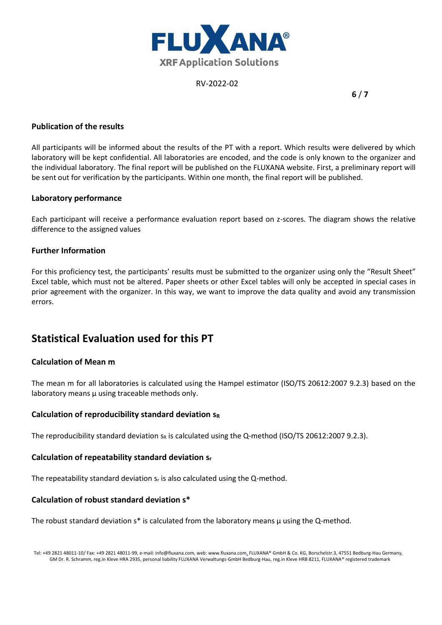

**6** / **7**

## **Publication of the results**

All participants will be informed about the results of the PT with a report. Which results were delivered by which laboratory will be kept confidential. All laboratories are encoded, and the code is only known to the organizer and the individual laboratory. The final report will be published on the FLUXANA website. First, a preliminary report will be sent out for verification by the participants. Within one month, the final report will be published.

#### **Laboratory performance**

Each participant will receive a performance evaluation report based on z-scores. The diagram shows the relative difference to the assigned values

## **Further Information**

For this proficiency test, the participants' results must be submitted to the organizer using only the "Result Sheet" Excel table, which must not be altered. Paper sheets or other Excel tables will only be accepted in special cases in prior agreement with the organizer. In this way, we want to improve the data quality and avoid any transmission errors.

# **Statistical Evaluation used for this PT**

## **Calculation of Mean m**

The mean m for all laboratories is calculated using the Hampel estimator (ISO/TS 20612:2007 9.2.3) based on the laboratory means  $\mu$  using traceable methods only.

#### **Calculation of reproducibility standard deviation s<sup>R</sup>**

The reproducibility standard deviation  $s_R$  is calculated using the Q-method (ISO/TS 20612:2007 9.2.3).

#### **Calculation of repeatability standard deviation s<sup>r</sup>**

The repeatability standard deviation  $s_r$  is also calculated using the Q-method.

## **Calculation of robust standard deviation s\***

The robust standard deviation  $s^*$  is calculated from the laboratory means  $\mu$  using the Q-method.